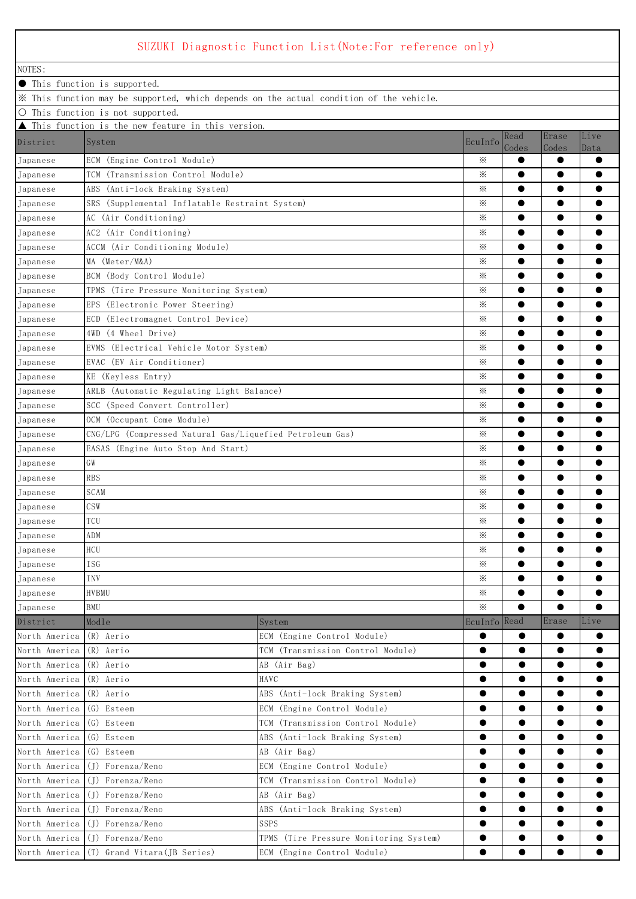## SUZUKI Diagnostic Function List(Note:For reference only)

| NOTES:        |                                                          |                                                                                         |                      |           |           |           |
|---------------|----------------------------------------------------------|-----------------------------------------------------------------------------------------|----------------------|-----------|-----------|-----------|
|               |                                                          |                                                                                         |                      |           |           |           |
|               | ● This function is supported.                            | X This function may be supported, which depends on the actual condition of the vehicle. |                      |           |           |           |
|               | O This function is not supported.                        |                                                                                         |                      |           |           |           |
|               | This function is the new feature in this version.        |                                                                                         |                      |           |           |           |
| District      | System                                                   |                                                                                         | EcuInfo              | Read      | Erase     | Live      |
|               |                                                          |                                                                                         |                      | Codes     | Codes     | Data      |
| Japanese      | ECM (Engine Control Module)                              |                                                                                         | ⋇                    | $\bullet$ | $\bullet$ | $\bullet$ |
| Japanese      | TCM (Transmission Control Module)                        |                                                                                         | ⋇                    | $\bullet$ | $\bullet$ | $\bullet$ |
| Japanese      | ABS (Anti-lock Braking System)                           |                                                                                         | ⋇                    | $\bullet$ | $\bullet$ | $\bullet$ |
| Japanese      | SRS (Supplemental Inflatable Restraint System)           |                                                                                         | $\times$             | $\bullet$ | $\bullet$ | $\bullet$ |
| Japanese      | AC (Air Conditioning)                                    |                                                                                         | ⋇                    | $\bullet$ | $\bullet$ | $\bullet$ |
| Japanese      | AC2 (Air Conditioning)                                   |                                                                                         | ⋇                    | $\bullet$ | $\bullet$ | $\bullet$ |
| Japanese      | ACCM (Air Conditioning Module)                           |                                                                                         | $\times$             | $\bullet$ | $\bullet$ | $\bullet$ |
| Japanese      | MA (Meter/M&A)                                           |                                                                                         | ⋇                    | $\bullet$ | $\bullet$ | $\bullet$ |
| Japanese      | BCM (Body Control Module)                                |                                                                                         | ⋇                    | $\bullet$ | $\bullet$ | $\bullet$ |
| Japanese      | TPMS (Tire Pressure Monitoring System)                   |                                                                                         | $\times$             | $\bullet$ | $\bullet$ | $\bullet$ |
| Japanese      | EPS (Electronic Power Steering)                          |                                                                                         | ⋇                    | $\bullet$ | $\bullet$ | $\bullet$ |
| Japanese      | ECD (Electromagnet Control Device)                       |                                                                                         | $\times$             | $\bullet$ | $\bullet$ | $\bullet$ |
| Japanese      | 4WD (4 Wheel Drive)                                      |                                                                                         | $\times$             | $\bullet$ | $\bullet$ | $\bullet$ |
| Japanese      | EVMS (Electrical Vehicle Motor System)                   |                                                                                         | ⋇                    | $\bullet$ | $\bullet$ | ●         |
| Japanese      | EVAC (EV Air Conditioner)                                |                                                                                         | ⋇                    | $\bullet$ | $\bullet$ | $\bullet$ |
| Japanese      | KE (Keyless Entry)                                       |                                                                                         | ⋇                    | $\bullet$ | $\bullet$ | $\bullet$ |
| Japanese      | ARLB (Automatic Regulating Light Balance)                |                                                                                         | ⋇                    | $\bullet$ | $\bullet$ | $\bullet$ |
| Japanese      | SCC (Speed Convert Controller)                           |                                                                                         | ⋇                    | $\bullet$ | $\bullet$ | $\bullet$ |
| Japanese      | OCM (Occupant Come Module)                               |                                                                                         | $\times$<br>$\times$ | $\bullet$ | $\bullet$ | $\bullet$ |
| Japanese      | CNG/LPG (Compressed Natural Gas/Liquefied Petroleum Gas) |                                                                                         |                      | $\bullet$ | $\bullet$ | $\bullet$ |
| Japanese      | EASAS (Engine Auto Stop And Start)                       |                                                                                         |                      | $\bullet$ | $\bullet$ | $\bullet$ |
| Japanese      | GW                                                       |                                                                                         |                      | $\bullet$ | $\bullet$ | $\bullet$ |
| Japanese      | <b>RBS</b>                                               |                                                                                         |                      | $\bullet$ | $\bullet$ | $\bullet$ |
| Japanese      | <b>SCAM</b>                                              |                                                                                         | ⋇<br>⋇               | $\bullet$ | $\bullet$ | $\bullet$ |
| Japanese      | CSW                                                      |                                                                                         |                      | $\bullet$ | $\bullet$ | $\bullet$ |
| Japanese      | TCU                                                      |                                                                                         |                      | ●         | $\bullet$ |           |
| Japanese      | ADM                                                      |                                                                                         |                      | ●         | $\bullet$ |           |
| Japanese      | $\rm HCU$                                                |                                                                                         |                      | $\bullet$ | $\bullet$ | $\bullet$ |
| Japanese      | <b>ISG</b>                                               |                                                                                         | ⋇                    | $\bullet$ | $\bullet$ | $\bullet$ |
| Japanese      | INV                                                      |                                                                                         | ⋇                    | $\bullet$ | $\bullet$ | $\bullet$ |
| Japanese      | HVBMU                                                    |                                                                                         | $\times$             | $\bullet$ | $\bullet$ | $\bullet$ |
| Japanese      | BMU                                                      |                                                                                         | $\times$             | $\bullet$ | $\bullet$ | $\bullet$ |
| District      | Modle                                                    | System                                                                                  | EcuInfo Read         |           | Erase     | Live      |
| North America | (R) Aerio                                                | ECM (Engine Control Module)                                                             | $\bullet$            | $\bullet$ | $\bullet$ | $\bullet$ |
| North America | (R) Aerio                                                | TCM (Transmission Control Module)                                                       | $\bullet$            | $\bullet$ | $\bullet$ | $\bullet$ |
| North America | (R) Aerio                                                | AB (Air Bag)                                                                            | $\bullet$            | $\bullet$ | $\bullet$ | $\bullet$ |
| North America | HAVC<br>(R) Aerio                                        |                                                                                         | $\bullet$            | $\bullet$ | $\bullet$ | $\bullet$ |
| North America | (R) Aerio                                                | ABS (Anti-lock Braking System)                                                          | $\bullet$            | $\bullet$ | $\bullet$ | $\bullet$ |
| North America | (G) Esteem                                               | ECM (Engine Control Module)                                                             | $\bullet$            | $\bullet$ | $\bullet$ | $\bullet$ |
| North America | (G) Esteem                                               | TCM (Transmission Control Module)                                                       | $\bullet$            | $\bullet$ | $\bullet$ | $\bullet$ |
| North America | (G) Esteem                                               | ABS (Anti-lock Braking System)                                                          | $\bullet$            | $\bullet$ | $\bullet$ | $\bullet$ |
| North America | (G) Esteem                                               | AB (Air Bag)                                                                            | $\bullet$            | $\bullet$ | $\bullet$ | $\bullet$ |
| North America | (J) Forenza/Reno                                         | ECM (Engine Control Module)                                                             | $\bullet$            | $\bullet$ | $\bullet$ | $\bullet$ |
| North America | (J) Forenza/Reno                                         | TCM (Transmission Control Module)                                                       | $\bullet$            | $\bullet$ | $\bullet$ | $\bullet$ |
| North America | (J) Forenza/Reno                                         | AB (Air Bag)                                                                            | $\bullet$            | $\bullet$ | $\bullet$ | $\bullet$ |
| North America | (J) Forenza/Reno                                         | ABS (Anti-lock Braking System)                                                          | $\bullet$            | $\bullet$ | $\bullet$ | $\bullet$ |
| North America | (J) Forenza/Reno                                         | SSPS                                                                                    | $\bullet$            | $\bullet$ | $\bullet$ | $\bullet$ |
|               | North America (J) Forenza/Reno                           | TPMS (Tire Pressure Monitoring System)                                                  | $\bullet$            | $\bullet$ | $\bullet$ | $\bullet$ |
|               | North America (T) Grand Vitara (JB Series)               | ECM (Engine Control Module)                                                             | $\bullet$            |           | $\bullet$ |           |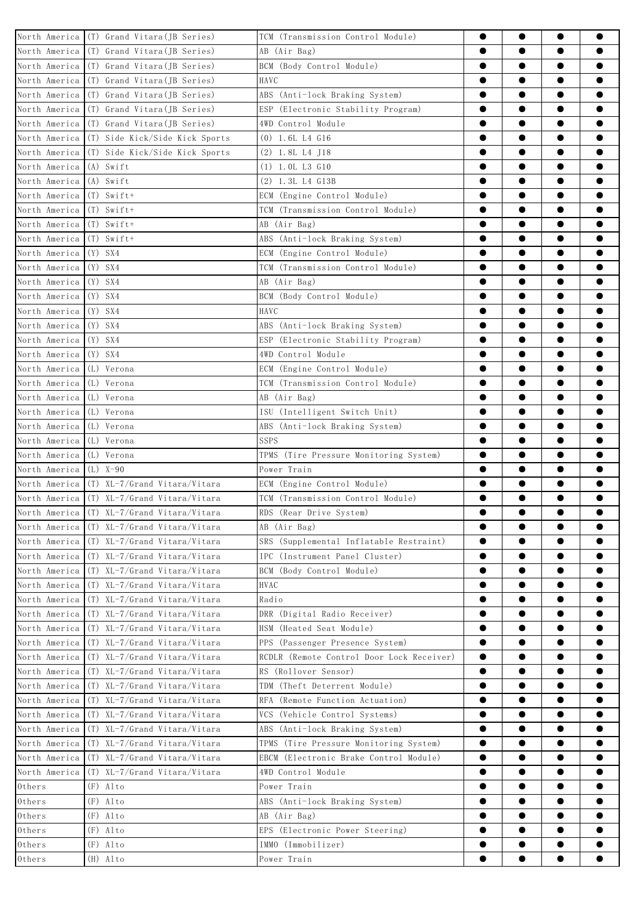|                          | North America (T) Grand Vitara(JB Series)    | TCM (Transmission Control Module)         | $\bullet$ | $\bullet$              | $\bullet$ | $\bullet$              |
|--------------------------|----------------------------------------------|-------------------------------------------|-----------|------------------------|-----------|------------------------|
|                          | North America (T) Grand Vitara (JB Series)   | AB (Air Bag)                              | $\bullet$ | $\bullet$              | $\bullet$ | $\bullet$              |
|                          | North America (T) Grand Vitara (JB Series)   | BCM (Body Control Module)                 | $\bullet$ | $\bullet$              | $\bullet$ | $\bullet$              |
|                          | North America (T) Grand Vitara (JB Series)   | HAVC                                      | $\bullet$ | $\bullet$              | $\bullet$ | $\bullet$              |
|                          | North America (T) Grand Vitara (JB Series)   | ABS (Anti-lock Braking System)            | $\bullet$ | $\bullet$              | $\bullet$ | $\bullet$              |
|                          | North America (T) Grand Vitara (JB Series)   | ESP (Electronic Stability Program)        | $\bullet$ | $\bullet$              | $\bullet$ | $\bullet$              |
|                          | North America (T) Grand Vitara (JB Series)   | 4WD Control Module                        | $\bullet$ | $\bullet$              | $\bullet$ | $\bullet$              |
|                          | North America (T) Side Kick/Side Kick Sports | $(0)$ 1.6L L4 G16                         |           | $\bullet$              | $\bullet$ | $\bullet$              |
|                          | North America (T) Side Kick/Side Kick Sports | $(2)$ 1.8L L4 J18                         | ●         | $\bullet$              | $\bullet$ | $\bullet$              |
| North America (A) Swift  |                                              | $(1)$ 1.0L L3 G10                         | $\bullet$ | $\bullet$              | $\bullet$ | $\bullet$              |
| North America (A) Swift  |                                              | $(2)$ 1.3L L4 $G13B$                      | $\bullet$ | $\bullet$              | $\bullet$ | $\bullet$              |
| North America (T) Swift+ |                                              | ECM (Engine Control Module)               | $\bullet$ | $\bullet$              | $\bullet$ | $\bullet$              |
| North America (T) Swift+ |                                              | TCM (Transmission Control Module)         | $\bullet$ | $\bullet$              | $\bullet$ | $\bullet$              |
| North America (T) Swift+ |                                              | AB (Air Bag)                              | $\bullet$ | $\bullet$              | $\bullet$ | $\bullet$              |
| North America (T) Swift+ |                                              | ABS (Anti-lock Braking System)            | $\bullet$ | $\bullet$              | $\bullet$ | $\bullet$              |
| North America (Y) SX4    |                                              | ECM (Engine Control Module)               | ●         | $\bullet$              | $\bullet$ | $\bullet$              |
| North America            | $(Y)$ SX4                                    | TCM (Transmission Control Module)         | ●         | $\bullet$              | $\bullet$ | $\bullet$              |
| North America (Y) SX4    |                                              | AB (Air Bag)                              | $\bullet$ | $\bullet$              | $\bullet$ | $\bullet$              |
| North America (Y) SX4    |                                              | BCM (Body Control Module)                 | $\bullet$ | $\bullet$              | $\bullet$ | $\bullet$              |
| North America (Y) SX4    |                                              | HAVC                                      | $\bullet$ | $\bullet$              | $\bullet$ | $\bullet$              |
| North America            | $(Y)$ SX4                                    | ABS (Anti-lock Braking System)            | $\bullet$ | $\bullet$              | $\bullet$ | $\bullet$              |
| North America (Y) SX4    |                                              | ESP (Electronic Stability Program)        | $\bullet$ | $\bullet$              | $\bullet$ | $\bullet$              |
| North America (Y) SX4    |                                              | 4WD Control Module                        | $\bullet$ | $\bullet$              | $\bullet$ | $\bullet$              |
| North America (L) Verona |                                              | ECM (Engine Control Module)               | $\bullet$ | $\bullet$              | $\bullet$ | $\bullet$              |
| North America (L) Verona |                                              | TCM (Transmission Control Module)         | $\bullet$ | $\bullet$              | $\bullet$ | $\bullet$              |
| North America (L) Verona |                                              | AB (Air Bag)                              | $\bullet$ | $\bullet$              | $\bullet$ | $\bullet$              |
| North America (L) Verona |                                              | ISU (Intelligent Switch Unit)             | $\bullet$ | $\bullet$              | $\bullet$ | $\bullet$              |
| North America (L) Verona |                                              | ABS (Anti-lock Braking System)            | $\bullet$ | $\bullet$              | $\bullet$ | $\bullet$              |
| North America (L) Verona |                                              | SSPS                                      | $\bullet$ | $\bullet$              | $\bullet$ | $\bullet$              |
| North America (L) Verona |                                              | TPMS (Tire Pressure Monitoring System)    | $\bullet$ | $\bullet$              | $\bullet$ | $\bullet$              |
| North America $(L)$ X-90 |                                              | Power Train                               | $\bullet$ | $\bullet$              | $\bullet$ | $\bullet$              |
|                          | North America (T) XL-7/Grand Vitara/Vitara   | ECM (Engine Control Module)               |           | $\bullet$              | $\bullet$ |                        |
|                          | North America (T) XL-7/Grand Vitara/Vitara   | TCM (Transmission Control Module)         | ●         | ●                      | $\bullet$ |                        |
|                          | North America (T) XL-7/Grand Vitara/Vitara   | RDS (Rear Drive System)                   |           | ●                      | $\bullet$ |                        |
|                          | North America (T) XL-7/Grand Vitara/Vitara   | AB (Air Bag)                              | $\bullet$ | $\bullet$              | $\bullet$ | $\bullet$              |
|                          | North America (T) XL-7/Grand Vitara/Vitara   | SRS (Supplemental Inflatable Restraint)   | $\bullet$ | $\bullet$              | $\bullet$ | $\bullet$              |
|                          | North America (T) XL-7/Grand Vitara/Vitara   | IPC (Instrument Panel Cluster)            | $\bullet$ | $\bullet$              | $\bullet$ | $\bullet$              |
|                          | North America (T) XL-7/Grand Vitara/Vitara   | BCM (Body Control Module)                 | $\bullet$ | $\bullet$              | $\bullet$ | $\bullet$              |
|                          | North America (T) XL-7/Grand Vitara/Vitara   | <b>HVAC</b>                               | $\bullet$ | $\bullet$              | $\bullet$ | $\bullet$              |
| North America            | (T) XL-7/Grand Vitara/Vitara                 | Radio                                     | ●         | $\bullet$              | $\bullet$ | $\bullet$              |
| North America            | (T) XL-7/Grand Vitara/Vitara                 | DRR (Digital Radio Receiver)              | $\bullet$ | $\bullet$              | $\bullet$ | $\bullet$              |
|                          | North America (T) XL-7/Grand Vitara/Vitara   | HSM (Heated Seat Module)                  | $\bullet$ | $\bullet$              | $\bullet$ | $\bullet$              |
| North America            | (T) XL-7/Grand Vitara/Vitara                 | PPS (Passenger Presence System)           | $\bullet$ | $\bullet$              | $\bullet$ | $\bullet$              |
| North America            | (T) XL-7/Grand Vitara/Vitara                 | RCDLR (Remote Control Door Lock Receiver) | $\bullet$ |                        | $\bullet$ |                        |
| North America            | (T) XL-7/Grand Vitara/Vitara                 | RS (Rollover Sensor)                      | $\bullet$ | ●                      | $\bullet$ |                        |
|                          | North America (T) XL-7/Grand Vitara/Vitara   | TDM (Theft Deterrent Module)              | $\bullet$ | $\bullet$              | $\bullet$ | $\bullet$              |
|                          | North America (T) XL-7/Grand Vitara/Vitara   | RFA (Remote Function Actuation)           | $\bullet$ | $\bullet$              | $\bullet$ | $\bullet$              |
| North America            | (T) XL-7/Grand Vitara/Vitara                 | VCS (Vehicle Control Systems)             |           | $\bullet$              | $\bullet$ |                        |
| North America            | (T) XL-7/Grand Vitara/Vitara                 | ABS (Anti-lock Braking System)            | ●         | $\bullet$              | $\bullet$ | $\bullet$              |
| North America            | $(T)$ XL-7/Grand Vitara/Vitara               | TPMS (Tire Pressure Monitoring System)    | $\bullet$ | $\bullet$              | $\bullet$ | $\bullet$              |
| North America            | (T) XL-7/Grand Vitara/Vitara                 | EBCM (Electronic Brake Control Module)    | $\bullet$ | $\bullet$              | $\bullet$ | $\bullet$              |
| North America            | (T) XL-7/Grand Vitara/Vitara                 | 4WD Control Module                        | $\bullet$ | $\bullet$              | $\bullet$ |                        |
| Others                   | $(F)$ Alto                                   | Power Train                               | ●         | $\bullet$              | $\bullet$ |                        |
| Others                   | $(F)$ Alto                                   | ABS (Anti-lock Braking System)            | $\bullet$ | $\bullet$              | $\bullet$ | $\bullet$              |
| Others                   | $(F)$ Alto                                   | AB (Air Bag)                              | $\bullet$ | $\bullet$              | $\bullet$ | $\bullet$              |
|                          | $(F)$ Alto                                   |                                           | $\bullet$ | $\bullet$              | $\bullet$ |                        |
| Others                   |                                              | EPS (Electronic Power Steering)           | $\bullet$ |                        |           |                        |
| Others                   | $(F)$ Alto                                   | IMMO (Immobilizer)                        |           | $\bullet$<br>$\bullet$ | $\bullet$ | $\bullet$<br>$\bullet$ |
| Others                   | $(H)$ Alto                                   | Power Train                               | $\bullet$ |                        | $\bullet$ |                        |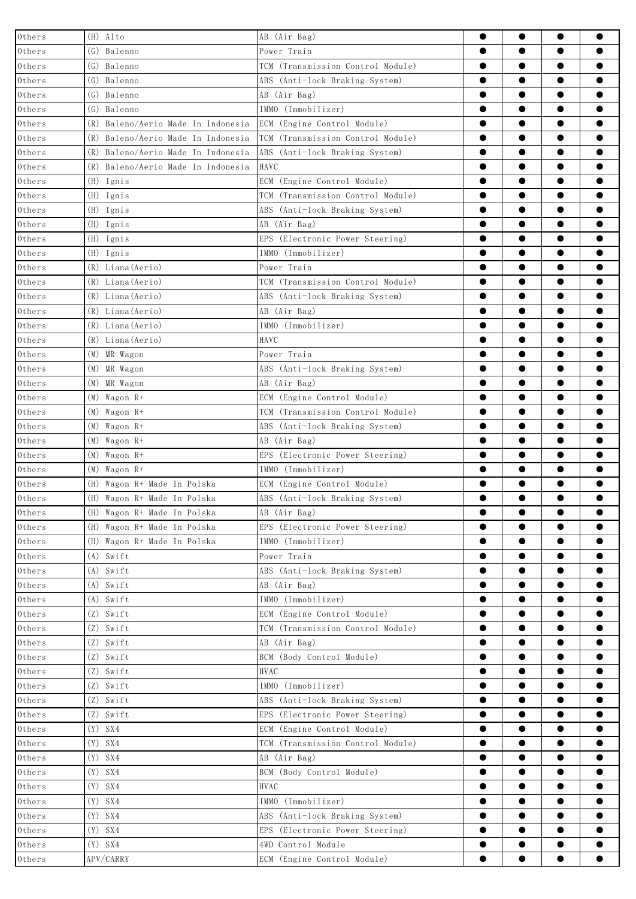| Others                                               | $(H)$ Alto                         | AB (Air Bag)                                   | $\bullet$              | $\bullet$              | $\bullet$              | $\bullet$              |
|------------------------------------------------------|------------------------------------|------------------------------------------------|------------------------|------------------------|------------------------|------------------------|
| $0{\rm\thinspace thers}$                             | (G) Balenno                        | Power Train                                    | $\bullet$              | $\bullet$              | $\bullet$              | $\bullet$              |
| $0{\rm\thinspace thers}$                             | (G) Balenno                        | TCM (Transmission Control Module)              | $\bullet$              | $\bullet$              | $\bullet$              | $\bullet$              |
| Others                                               | (G) Balenno                        | ABS (Anti-lock Braking System)                 | $\bullet$              | $\bullet$              | $\bullet$              | $\bullet$              |
| $0$ thers                                            | (G) Balenno                        | AB (Air Bag)                                   | $\bullet$              | $\bullet$              | $\bullet$              | $\bullet$              |
| $0{\rm\thinspace thers}$                             | (G) Balenno                        | IMMO (Immobilizer)                             | $\bullet$              | $\bullet$              | $\bullet$              | $\bullet$              |
| $0{\rm\thinspace thers}$                             | (R) Baleno/Aerio Made In Indonesia | ECM (Engine Control Module)                    | $\bullet$              | $\bullet$              | $\bullet$              | $\bullet$              |
| $0$ thers                                            | (R) Baleno/Aerio Made In Indonesia | TCM (Transmission Control Module)              | $\bullet$              | $\bullet$              | $\bullet$              |                        |
| Others                                               | (R) Baleno/Aerio Made In Indonesia | ABS (Anti-lock Braking System)                 |                        | $\bullet$              | $\bullet$              | $\bullet$              |
| $0{\rm\thinspace thers}$                             | (R) Baleno/Aerio Made In Indonesia | HAVC                                           | $\bullet$              | $\bullet$              | $\bullet$              | $\bullet$              |
| $0{\rm\thinspace thers}$                             | (H) Ignis                          | ECM (Engine Control Module)                    | $\bullet$              | $\bullet$              | $\bullet$              | $\bullet$              |
| Others                                               | $(H)$ Ignis                        | TCM (Transmission Control Module)              | $\bullet$              | $\bullet$              | $\bullet$              | $\bullet$              |
| Others                                               | (H) Ignis                          | ABS (Anti-lock Braking System)                 | $\bullet$              | $\bullet$              | $\bullet$              | $\bullet$              |
| $0{\rm\thinspace thers}$                             | (H) Ignis                          | AB (Air Bag)                                   | $\bullet$              | $\bullet$              | $\bullet$              | $\bullet$              |
| $0{\rm\thinspace thers}$                             | (H) Ignis                          | EPS (Electronic Power Steering)                | $\bullet$              | $\bullet$              | $\bullet$              | $\bullet$              |
| Others                                               | (H) Ignis                          | [MMO (Immobilizer)                             | $\bullet$              | $\bullet$              | $\bullet$              |                        |
| Others                                               | (R) Liana (Aerio)                  | Power Train                                    | $\bullet$              | $\bullet$              | $\bullet$              | $\bullet$              |
| $0{\rm\thinspace thers}$                             | (R) Liana (Aerio)                  | TCM (Transmission Control Module)              | $\bullet$              | $\bullet$              | $\bullet$              | $\bullet$              |
| $0{\rm\thinspace thers}$                             | (R) Liana (Aerio)                  | ABS (Anti-lock Braking System)                 | $\bullet$              | $\bullet$              | $\bullet$              | $\bullet$              |
| Others                                               | (R) Liana (Aerio)                  | AB (Air Bag)                                   | $\bullet$              | $\bullet$              | $\bullet$              | $\bullet$              |
| Others                                               | (R) Liana (Aerio)                  | IMMO (Immobilizer)                             | $\bullet$              | $\bullet$              | $\bullet$              | $\bullet$              |
| Others                                               | (R) Liana (Aerio)                  | HAVC                                           | $\bullet$              | $\bullet$              | $\bullet$              | $\bullet$              |
| $0{\rm\thinspace thers}$                             | (M) MR Wagon                       | Power Train                                    | $\bullet$              | $\bullet$              | $\bullet$              | $\bullet$              |
| Others                                               | (M) MR Wagon                       | ABS (Anti-lock Braking System)                 | $\bullet$              | $\bullet$              | $\bullet$              | $\bullet$              |
| $0$ thers                                            | (M) MR Wagon                       | AB (Air Bag)                                   | $\bullet$              | $\bullet$              | $\bullet$              | $\bullet$              |
| $0{\rm\thinspace thers}$                             | $(M)$ Wagon R+                     | ECM (Engine Control Module)                    | $\bullet$              | $\bullet$              | $\bullet$              | $\bullet$              |
| $0{\rm\thinspace thers}$                             | $(M)$ Wagon R+                     | TCM (Transmission Control Module)              | $\bullet$<br>$\bullet$ | $\bullet$              | $\bullet$              | $\bullet$<br>$\bullet$ |
| Others                                               | $(M)$ Wagon R+                     | ABS (Anti-lock Braking System)<br>AB (Air Bag) | $\bullet$              | $\bullet$<br>$\bullet$ | $\bullet$<br>$\bullet$ | $\bullet$              |
| Others                                               | $(M)$ Wagon R+<br>$(M)$ Wagon R+   | EPS (Electronic Power Steering)                | $\bullet$              | $\bullet$              | $\bullet$              | $\bullet$              |
| $0{\rm\thinspace thers}$<br>$0{\rm\thinspace thers}$ | $(M)$ Wagon R+                     | IMMO (Immobilizer)                             | $\bullet$              | $\bullet$              | $\bullet$              | $\bullet$              |
| $0{\rm\thinspace thers}$                             | (H) Wagon R+ Made In Polska        | ECM (Engine Control Module)                    | $\bullet$              | $\bullet$              | $\bullet$              | $\bullet$              |
| $0{\rm\thinspace thers}$                             | (H) Wagon R+ Made In Polska        | ABS (Anti-lock Braking System)                 | $\bullet$              | ●                      | $\bullet$              | $\bullet$              |
| Others                                               | (H) Wagon R+ Made In Polska        | AB (Air Bag)                                   | $\bullet$              | $\bullet$              | $\bullet$              | $\bullet$              |
| $0{\rm\thinspace thers}$                             | (H) Wagon R+ Made In Polska        | EPS (Electronic Power Steering)                | $\bullet$              | $\bullet$              | $\bullet$              | $\bullet$              |
| Others                                               | (H) Wagon R+ Made In Polska        | IMMO (Immobilizer)                             | $\bullet$              | $\bullet$              | $\bullet$              |                        |
| Others                                               | $(A)$ Swift                        | Power Train                                    | $\bullet$              | $\bullet$              | $\bullet$              | $\bullet$              |
| Others                                               | (A) Swift                          | ABS (Anti-lock Braking System)                 | $\bullet$              | $\bullet$              | $\bullet$              | $\bullet$              |
| $0{\rm\thinspace thers}$                             | $(A)$ Swift                        | AB (Air Bag)                                   | $\bullet$              | $\bullet$              | $\bullet$              | $\bullet$              |
| Others                                               | $(A)$ Swift                        | IMMO (Immobilizer)                             | $\bullet$              | $\bullet$              | $\bullet$              | $\bullet$              |
| Others                                               | $(Z)$ Swift                        | ECM (Engine Control Module)                    | $\bullet$              | $\bullet$              | $\bullet$              | $\bullet$              |
| Others                                               | $(Z)$ Swift                        | TCM (Transmission Control Module)              | $\bullet$              | $\bullet$              | $\bullet$              | $\bullet$              |
| $0{\rm\thinspace thers}$                             | (Z) Swift                          | AB (Air Bag)                                   | $\bullet$              | $\bullet$              | $\bullet$              | ●                      |
| Others                                               | (Z) Swift                          | BCM (Body Control Module)                      | $\bullet$              | $\bullet$              | $\bullet$              |                        |
| $0{\rm\thinspace thers}$                             | (Z) Swift                          | <b>HVAC</b>                                    | $\bullet$              | $\bullet$              | $\bullet$              |                        |
| $0{\rm\thinspace thers}$                             | (Z) Swift                          | IMMO (Immobilizer)                             | $\bullet$              | $\bullet$              | $\bullet$              | $\bullet$              |
| $0{\rm\thinspace thers}$                             | (Z) Swift                          | ABS (Anti-lock Braking System)                 | $\bullet$              | $\bullet$              | $\bullet$              |                        |
| Others                                               | (Z) Swift                          | EPS (Electronic Power Steering)                | $\bullet$              | $\bullet$              | $\bullet$              |                        |
| $0{\rm\thinspace thers}$                             | $(Y)$ SX4                          | ECM (Engine Control Module)                    | $\bullet$              | $\bullet$              | $\bullet$              | $\bullet$              |
| $0{\rm\thinspace thers}$                             | $(Y)$ SX4                          | TCM (Transmission Control Module)              | $\bullet$              | $\bullet$              | $\bullet$              | $\bullet$              |
| $0{\rm\thinspace thers}$                             | $(Y)$ SX4                          | AB (Air Bag)                                   | $\bullet$              | $\bullet$              | $\bullet$              |                        |
| Others                                               | $(Y)$ SX4                          | BCM (Body Control Module)                      | $\bullet$              | $\bullet$              | $\bullet$              |                        |
| $0{\rm\thinspace thers}$                             | $(Y)$ SX4                          | <b>HVAC</b>                                    | $\bullet$              | $\bullet$              | $\bullet$              |                        |
| $0{\rm\thinspace thers}$                             | $(Y)$ SX4                          | IMMO (Immobilizer)                             | $\bullet$              | $\bullet$              | $\bullet$              | $\bullet$              |
| $0{\rm\thinspace thers}$                             | $(Y)$ SX4                          | ABS (Anti-lock Braking System)                 | $\bullet$              | $\bullet$              | $\bullet$              |                        |
| Others                                               | $(Y)$ SX4                          | EPS (Electronic Power Steering)                | $\bullet$              | $\bullet$              | $\bullet$              |                        |
| $0{\rm\thinspace thers}$                             | $(Y)$ SX4                          | 4WD Control Module                             | $\bullet$              | $\bullet$              | $\bullet$              | $\bullet$              |
| $0{\rm\thinspace thers}$                             | APV/CARRY                          | ECM (Engine Control Module)                    | $\bullet$              | $\bullet$              | $\bullet$              | $\bullet$              |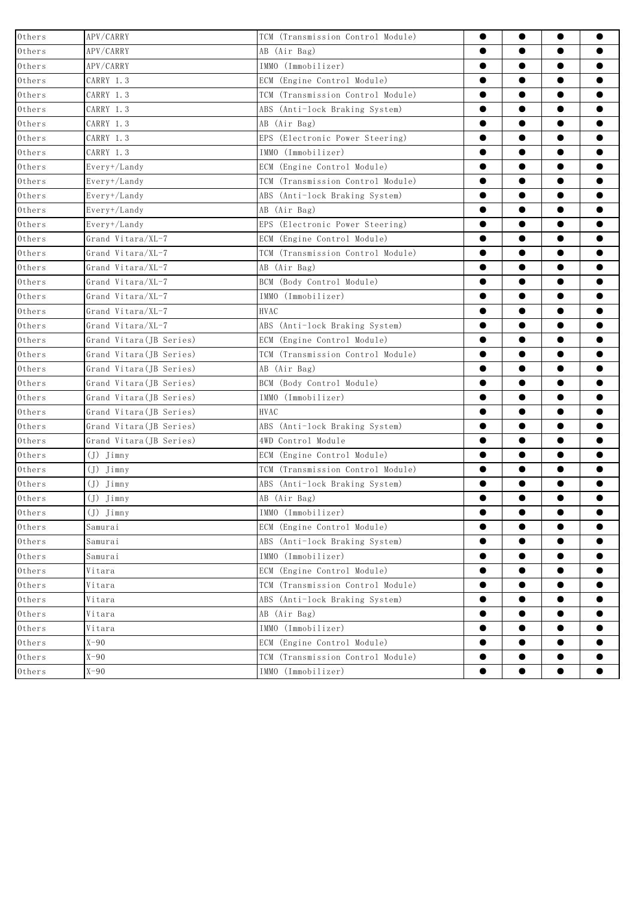| $0$ thers                | APV/CARRY                | TCM (Transmission Control Module) | $\bullet$ | $\bullet$ | $\bullet$ | $\bullet$ |
|--------------------------|--------------------------|-----------------------------------|-----------|-----------|-----------|-----------|
| Others                   | APV/CARRY                | AB (Air Bag)                      | $\bullet$ | $\bullet$ | $\bullet$ | $\bullet$ |
| $0$ thers                | APV/CARRY                | IMMO (Immobilizer)                | $\bullet$ | $\bullet$ | $\bullet$ | $\bullet$ |
| $0$ thers                | CARRY 1.3                | ECM (Engine Control Module)       | $\bullet$ | $\bullet$ | $\bullet$ | $\bullet$ |
| $0{\rm\thinspace thers}$ | CARRY 1.3                | TCM (Transmission Control Module) | $\bullet$ | $\bullet$ | $\bullet$ | $\bullet$ |
| Others                   | CARRY 1.3                | ABS (Anti-lock Braking System)    | $\bullet$ | $\bullet$ | $\bullet$ | $\bullet$ |
| $0{\rm\thinspace thers}$ | CARRY 1.3                | AB (Air Bag)                      | $\bullet$ | $\bullet$ | $\bullet$ | $\bullet$ |
| $0{\rm\thinspace thers}$ | CARRY 1.3                | EPS (Electronic Power Steering)   | $\bullet$ | $\bullet$ | $\bullet$ | $\bullet$ |
| Others                   | CARRY 1.3                | [MMO (Immobilizer)                | $\bullet$ | $\bullet$ | $\bullet$ | $\bullet$ |
| Others                   | Every+/Landy             | ECM (Engine Control Module)       | $\bullet$ | $\bullet$ | $\bullet$ | $\bullet$ |
| $0{\rm\thinspace thers}$ | Every+/Landy             | TCM (Transmission Control Module) | $\bullet$ | $\bullet$ | $\bullet$ | $\bullet$ |
| $0{\rm\thinspace thers}$ | Every+/Landy             | ABS (Anti-lock Braking System)    | $\bullet$ | $\bullet$ | $\bullet$ | $\bullet$ |
| $0{\rm\thinspace thers}$ | Every+/Landy             | AB (Air Bag)                      | $\bullet$ | $\bullet$ | $\bullet$ | $\bullet$ |
| Others                   | Every+/Landy             | EPS (Electronic Power Steering)   | $\bullet$ | $\bullet$ | $\bullet$ | $\bullet$ |
| $0{\rm\thinspace thers}$ | Grand Vitara/XL-7        | ECM (Engine Control Module)       | $\bullet$ | $\bullet$ | $\bullet$ | $\bullet$ |
| Others                   | Grand Vitara/XL-7        | TCM (Transmission Control Module) | $\bullet$ | $\bullet$ | $\bullet$ | $\bullet$ |
| Others                   | Grand Vitara/XL-7        | AB (Air Bag)                      | $\bullet$ | $\bullet$ | $\bullet$ |           |
| Others                   | Grand Vitara/XL-7        | BCM (Body Control Module)         | $\bullet$ | $\bullet$ | $\bullet$ | $\bullet$ |
| Others                   | Grand Vitara/XL-7        | IMMO (Immobilizer)                | $\bullet$ | $\bullet$ | $\bullet$ | $\bullet$ |
| $0{\rm\thinspace thers}$ | Grand Vitara/XL-7        | <b>HVAC</b>                       | $\bullet$ | $\bullet$ | $\bullet$ | $\bullet$ |
| $0{\rm\thinspace thers}$ | Grand Vitara/XL-7        | ABS (Anti-lock Braking System)    | $\bullet$ | $\bullet$ | $\bullet$ | $\bullet$ |
| $0$ thers                | Grand Vitara (JB Series) | ECM (Engine Control Module)       | $\bullet$ | $\bullet$ | $\bullet$ | $\bullet$ |
| $0{\rm\thinspace thers}$ | Grand Vitara (JB Series) | TCM (Transmission Control Module) | $\bullet$ | $\bullet$ | $\bullet$ | $\bullet$ |
| $0{\rm\thinspace thers}$ | Grand Vitara (JB Series) | AB (Air Bag)                      | $\bullet$ | $\bullet$ | $\bullet$ | $\bullet$ |
| Others                   | Grand Vitara (JB Series) | BCM (Body Control Module)         | $\bullet$ | $\bullet$ | $\bullet$ |           |
| $0{\rm\thinspace thers}$ | Grand Vitara (JB Series) | IMMO (Immobilizer)                |           | $\bullet$ | $\bullet$ | $\bullet$ |
| Others                   | Grand Vitara (JB Series) | <b>HVAC</b>                       | $\bullet$ | $\bullet$ | $\bullet$ | $\bullet$ |
| $0{\rm\thinspace thers}$ | Grand Vitara (JB Series) | ABS (Anti-lock Braking System)    | $\bullet$ | $\bullet$ | $\bullet$ | $\bullet$ |
| Others                   | Grand Vitara (JB Series) | 4WD Control Module                | $\bullet$ | $\bullet$ | $\bullet$ | $\bullet$ |
| Others                   | $(J)$ $Jimny$            | ECM (Engine Control Module)       | $\bullet$ | $\bullet$ | $\bullet$ | $\bullet$ |
| $0{\rm\thinspace thers}$ | (J) Jimny                | TCM (Transmission Control Module) | $\bullet$ | $\bullet$ | $\bullet$ | $\bullet$ |
| $0{\rm\thinspace thers}$ | (J) Jimny                | ABS (Anti-lock Braking System)    | $\bullet$ | $\bullet$ | $\bullet$ | ●         |
| Others                   | $(J)$ $Jimny$            | AB (Air Bag)                      | $\bullet$ | $\bullet$ | $\bullet$ | $\bullet$ |
| Others                   | $(J)$ $\tilde{J}$ imny   | IMMO (Immobilizer)                |           |           |           |           |
| $0{\rm\thinspace thers}$ | Samurai                  | ECM (Engine Control Module)       | $\bullet$ | $\bullet$ | $\bullet$ | $\bullet$ |
| $0{\rm\thinspace thers}$ | Samurai                  | ABS (Anti-lock Braking System)    | $\bullet$ | $\bullet$ | $\bullet$ | $\bullet$ |
| Others                   | Samurai                  | IMMO (Immobilizer)                | ●         | $\bullet$ | $\bullet$ |           |
| Others                   | Vitara                   | ECM (Engine Control Module)       | e         | $\bullet$ | $\bullet$ | $\bullet$ |
| $0{\rm\thinspace thers}$ | Vitara                   | TCM (Transmission Control Module) | $\bullet$ | $\bullet$ | $\bullet$ | $\bullet$ |
| $0{\rm\thinspace thers}$ | Vitara                   | ABS (Anti-lock Braking System)    | $\bullet$ | $\bullet$ | $\bullet$ | $\bullet$ |
| Others                   | Vitara                   | AB (Air Bag)                      | $\bullet$ | $\bullet$ | $\bullet$ | $\bullet$ |
| $0{\rm\thinspace thers}$ | Vitara                   | IMMO (Immobilizer)                | $\bullet$ | $\bullet$ | $\bullet$ | $\bullet$ |
| $0{\rm\thinspace thers}$ | $X-90$                   | ECM (Engine Control Module)       | $\bullet$ | $\bullet$ | $\bullet$ | $\bullet$ |
| $0{\rm\thinspace thers}$ | $X-90$                   | TCM (Transmission Control Module) | $\bullet$ | $\bullet$ | $\bullet$ | $\bullet$ |
| Others                   | $X-90$                   | IMMO (Immobilizer)                |           | $\bullet$ | $\bullet$ |           |
|                          |                          |                                   |           |           |           |           |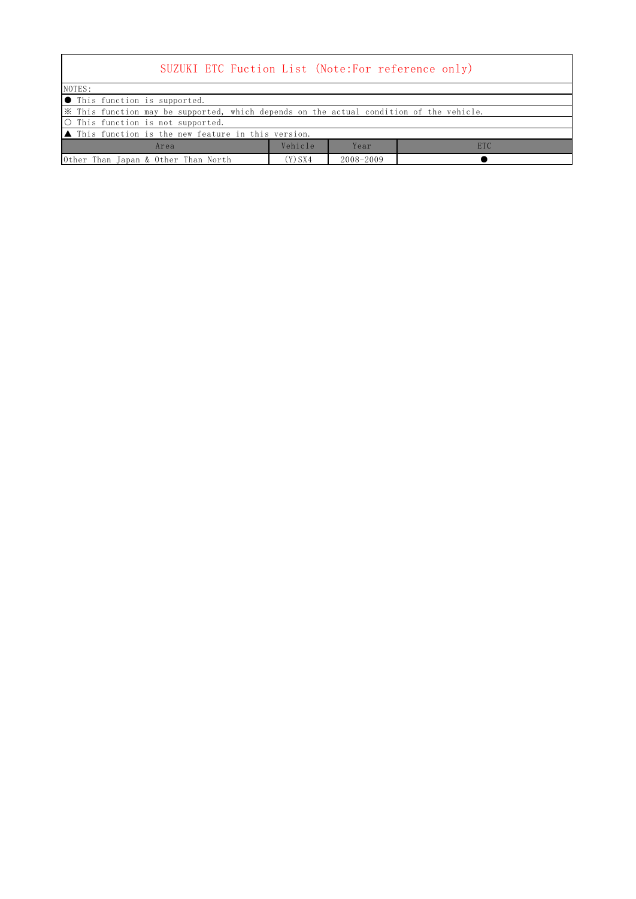| SUZUKI ETC Fuction List (Note:For reference only)                                       |         |               |            |  |  |  |
|-----------------------------------------------------------------------------------------|---------|---------------|------------|--|--|--|
| NOTES:                                                                                  |         |               |            |  |  |  |
| ● This function is supported.                                                           |         |               |            |  |  |  |
| X This function may be supported, which depends on the actual condition of the vehicle. |         |               |            |  |  |  |
| O This function is not supported.                                                       |         |               |            |  |  |  |
| $\blacktriangle$ This function is the new feature in this version.                      |         |               |            |  |  |  |
| Area                                                                                    | Vehicle | Year          | <b>ETC</b> |  |  |  |
| Other Than Japan & Other Than North                                                     | (Y) SX4 | $2008 - 2009$ |            |  |  |  |